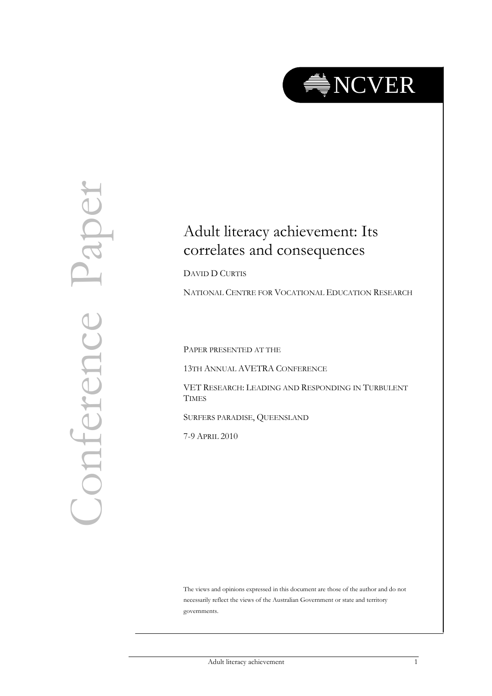

# Conference Paper Paper Conference

# Adult literacy achievement: Its correlates and consequences

DAVID D CURTIS

NATIONAL CENTRE FOR VOCATIONAL EDUCATION RESEARCH

PAPER PRESENTED AT THE

13TH ANNUAL AVETRA CONFERENCE

VET RESEARCH: LEADING AND RESPONDING IN TURBULENT **TIMES** 

SURFERS PARADISE, QUEENSLAND

7-9 APRIL 2010

The views and opinions expressed in this document are those of the author and do not necessarily reflect the views of the Australian Government or state and territory governments.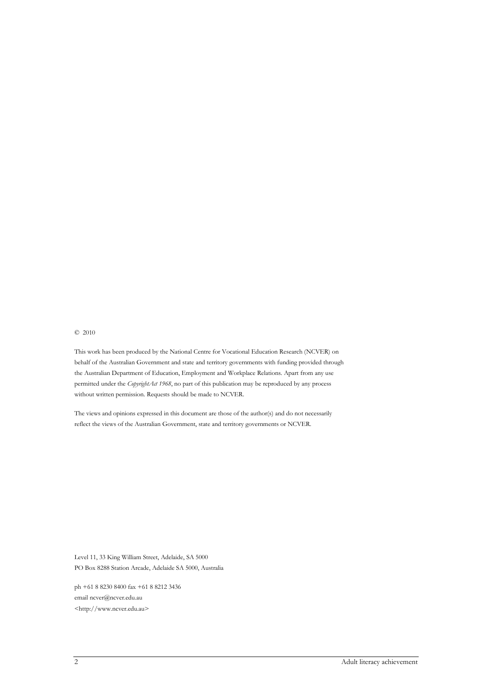#### © 2010

This work has been produced by the National Centre for Vocational Education Research (NCVER) on behalf of the Australian Government and state and territory governments with funding provided through the Australian Department of Education, Employment and Workplace Relations. Apart from any use permitted under the *CopyrightAct 1968*, no part of this publication may be reproduced by any process without written permission. Requests should be made to NCVER.

The views and opinions expressed in this document are those of the author(s) and do not necessarily reflect the views of the Australian Government, state and territory governments or NCVER.

Level 11, 33 King William Street, Adelaide, SA 5000 PO Box 8288 Station Arcade, Adelaide SA 5000, Australia

ph +61 8 8230 8400 fax +61 8 8212 3436 email ncver@ncver.edu.au <http://www.ncver.edu.au>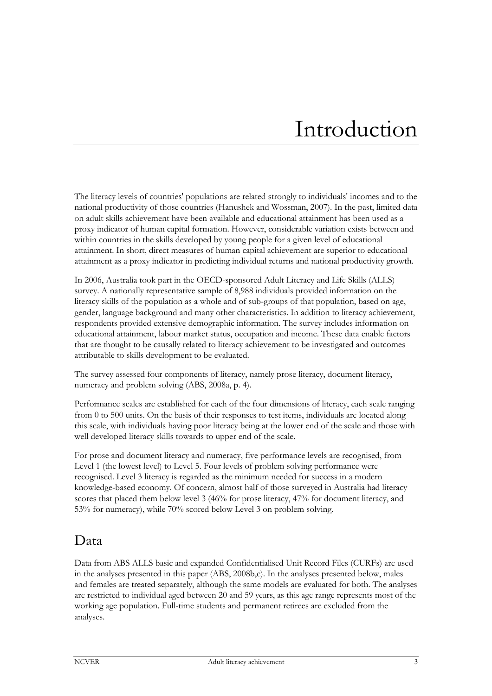# Introduction

The literacy levels of countries' populations are related strongly to individuals' incomes and to the national productivity of those countries (Hanushek and Wossman, 2007). In the past, limited data on adult skills achievement have been available and educational attainment has been used as a proxy indicator of human capital formation. However, considerable variation exists between and within countries in the skills developed by young people for a given level of educational attainment. In short, direct measures of human capital achievement are superior to educational attainment as a proxy indicator in predicting individual returns and national productivity growth.

In 2006, Australia took part in the OECD-sponsored Adult Literacy and Life Skills (ALLS) survey. A nationally representative sample of 8,988 individuals provided information on the literacy skills of the population as a whole and of sub-groups of that population, based on age, gender, language background and many other characteristics. In addition to literacy achievement, respondents provided extensive demographic information. The survey includes information on educational attainment, labour market status, occupation and income. These data enable factors that are thought to be causally related to literacy achievement to be investigated and outcomes attributable to skills development to be evaluated.

The survey assessed four components of literacy, namely prose literacy, document literacy, numeracy and problem solving (ABS, 2008a, p. 4).

Performance scales are established for each of the four dimensions of literacy, each scale ranging from 0 to 500 units. On the basis of their responses to test items, individuals are located along this scale, with individuals having poor literacy being at the lower end of the scale and those with well developed literacy skills towards to upper end of the scale.

For prose and document literacy and numeracy, five performance levels are recognised, from Level 1 (the lowest level) to Level 5. Four levels of problem solving performance were recognised. Level 3 literacy is regarded as the minimum needed for success in a modern knowledge-based economy. Of concern, almost half of those surveyed in Australia had literacy scores that placed them below level 3 (46% for prose literacy, 47% for document literacy, and 53% for numeracy), while 70% scored below Level 3 on problem solving.

### Data

Data from ABS ALLS basic and expanded Confidentialised Unit Record Files (CURFs) are used in the analyses presented in this paper (ABS, 2008b,c). In the analyses presented below, males and females are treated separately, although the same models are evaluated for both. The analyses are restricted to individual aged between 20 and 59 years, as this age range represents most of the working age population. Full-time students and permanent retirees are excluded from the analyses.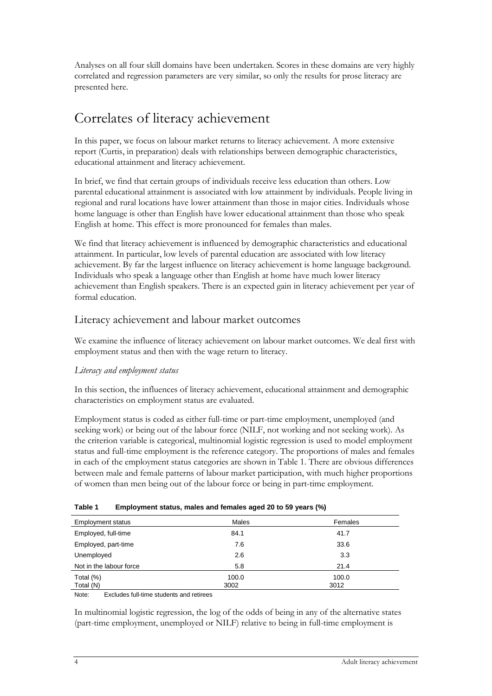Analyses on all four skill domains have been undertaken. Scores in these domains are very highly correlated and regression parameters are very similar, so only the results for prose literacy are presented here.

## Correlates of literacy achievement

In this paper, we focus on labour market returns to literacy achievement. A more extensive report (Curtis, in preparation) deals with relationships between demographic characteristics, educational attainment and literacy achievement.

In brief, we find that certain groups of individuals receive less education than others. Low parental educational attainment is associated with low attainment by individuals. People living in regional and rural locations have lower attainment than those in major cities. Individuals whose home language is other than English have lower educational attainment than those who speak English at home. This effect is more pronounced for females than males.

We find that literacy achievement is influenced by demographic characteristics and educational attainment. In particular, low levels of parental education are associated with low literacy achievement. By far the largest influence on literacy achievement is home language background. Individuals who speak a language other than English at home have much lower literacy achievement than English speakers. There is an expected gain in literacy achievement per year of formal education.

#### Literacy achievement and labour market outcomes

We examine the influence of literacy achievement on labour market outcomes. We deal first with employment status and then with the wage return to literacy.

#### *Literacy and employment status*

In this section, the influences of literacy achievement, educational attainment and demographic characteristics on employment status are evaluated.

Employment status is coded as either full-time or part-time employment, unemployed (and seeking work) or being out of the labour force (NILF, not working and not seeking work). As the criterion variable is categorical, multinomial logistic regression is used to model employment status and full-time employment is the reference category. The proportions of males and females in each of the employment status categories are shown in Table 1. There are obvious differences between male and female patterns of labour market participation, with much higher proportions of women than men being out of the labour force or being in part-time employment.

| <b>Employment status</b> | Males | Females |
|--------------------------|-------|---------|
| Employed, full-time      | 84.1  | 41.7    |
| Employed, part-time      | 7.6   | 33.6    |
| Unemployed               | 2.6   | 3.3     |
| Not in the labour force  | 5.8   | 21.4    |
| Total (%)                | 100.0 | 100.0   |
| Total (N)                | 3002  | 3012    |

| Table 1 |  | Employment status, males and females aged 20 to 59 years (%) |
|---------|--|--------------------------------------------------------------|
|         |  |                                                              |

Note: Excludes full-time students and retirees

In multinomial logistic regression, the log of the odds of being in any of the alternative states (part-time employment, unemployed or NILF) relative to being in full-time employment is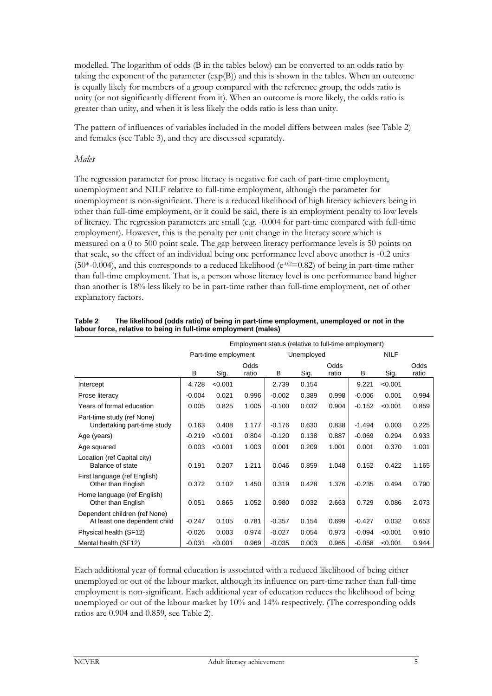modelled. The logarithm of odds (B in the tables below) can be converted to an odds ratio by taking the exponent of the parameter (exp(B)) and this is shown in the tables. When an outcome is equally likely for members of a group compared with the reference group, the odds ratio is unity (or not significantly different from it). When an outcome is more likely, the odds ratio is greater than unity, and when it is less likely the odds ratio is less than unity.

The pattern of influences of variables included in the model differs between males (see Table 2) and females (see Table 3), and they are discussed separately.

#### *Males*

The regression parameter for prose literacy is negative for each of part-time employment, unemployment and NILF relative to full-time employment, although the parameter for unemployment is non-significant. There is a reduced likelihood of high literacy achievers being in other than full-time employment, or it could be said, there is an employment penalty to low levels of literacy. The regression parameters are small (e.g. -0.004 for part-time compared with full-time employment). However, this is the penalty per unit change in the literacy score which is measured on a 0 to 500 point scale. The gap between literacy performance levels is 50 points on that scale, so the effect of an individual being one performance level above another is -0.2 units  $(50*-0.004)$ , and this corresponds to a reduced likelihood  $(e^{-0.2} = 0.82)$  of being in part-time rather than full-time employment. That is, a person whose literacy level is one performance band higher than another is 18% less likely to be in part-time rather than full-time employment, net of other explanatory factors.

|                                                               | Employment status (relative to full-time employment) |         |               |          |            |               |          |             |               |  |
|---------------------------------------------------------------|------------------------------------------------------|---------|---------------|----------|------------|---------------|----------|-------------|---------------|--|
|                                                               | Part-time employment                                 |         |               |          | Unemployed |               |          | <b>NILF</b> |               |  |
|                                                               | B                                                    | Sig.    | Odds<br>ratio | в        | Sig.       | Odds<br>ratio | В        | Sig.        | Odds<br>ratio |  |
| Intercept                                                     | 4.728                                                | < 0.001 |               | 2.739    | 0.154      |               | 9.221    | < 0.001     |               |  |
| Prose literacy                                                | $-0.004$                                             | 0.021   | 0.996         | $-0.002$ | 0.389      | 0.998         | $-0.006$ | 0.001       | 0.994         |  |
| Years of formal education                                     | 0.005                                                | 0.825   | 1.005         | $-0.100$ | 0.032      | 0.904         | $-0.152$ | < 0.001     | 0.859         |  |
| Part-time study (ref None)<br>Undertaking part-time study     | 0.163                                                | 0.408   | 1.177         | $-0.176$ | 0.630      | 0.838         | $-1.494$ | 0.003       | 0.225         |  |
| Age (years)                                                   | $-0.219$                                             | < 0.001 | 0.804         | $-0.120$ | 0.138      | 0.887         | $-0.069$ | 0.294       | 0.933         |  |
| Age squared                                                   | 0.003                                                | < 0.001 | 1.003         | 0.001    | 0.209      | 1.001         | 0.001    | 0.370       | 1.001         |  |
| Location (ref Capital city)<br>Balance of state               | 0.191                                                | 0.207   | 1.211         | 0.046    | 0.859      | 1.048         | 0.152    | 0.422       | 1.165         |  |
| First language (ref English)<br>Other than English            | 0.372                                                | 0.102   | 1.450         | 0.319    | 0.428      | 1.376         | $-0.235$ | 0.494       | 0.790         |  |
| Home language (ref English)<br>Other than English             | 0.051                                                | 0.865   | 1.052         | 0.980    | 0.032      | 2.663         | 0.729    | 0.086       | 2.073         |  |
| Dependent children (ref None)<br>At least one dependent child | $-0.247$                                             | 0.105   | 0.781         | $-0.357$ | 0.154      | 0.699         | $-0.427$ | 0.032       | 0.653         |  |
| Physical health (SF12)                                        | $-0.026$                                             | 0.003   | 0.974         | $-0.027$ | 0.054      | 0.973         | $-0.094$ | < 0.001     | 0.910         |  |
| Mental health (SF12)                                          | $-0.031$                                             | < 0.001 | 0.969         | $-0.035$ | 0.003      | 0.965         | $-0.058$ | < 0.001     | 0.944         |  |

| Table 2 | The likelihood (odds ratio) of being in part-time employment, unemployed or not in the |
|---------|----------------------------------------------------------------------------------------|
|         | labour force, relative to being in full-time employment (males)                        |

Each additional year of formal education is associated with a reduced likelihood of being either unemployed or out of the labour market, although its influence on part-time rather than full-time employment is non-significant. Each additional year of education reduces the likelihood of being unemployed or out of the labour market by 10% and 14% respectively. (The corresponding odds ratios are 0.904 and 0.859, see Table 2).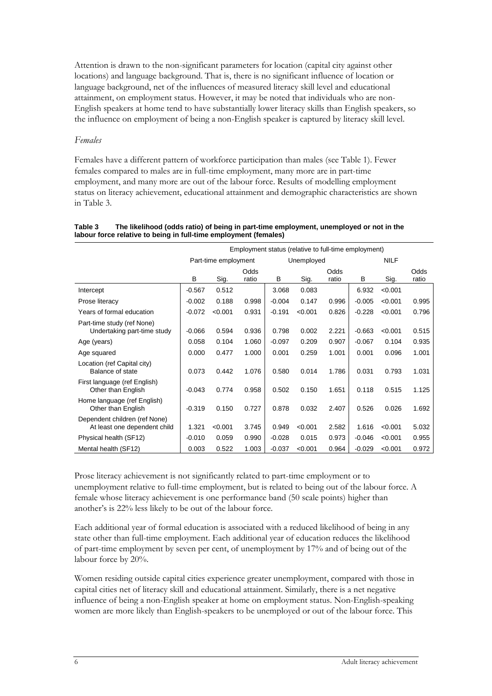Attention is drawn to the non-significant parameters for location (capital city against other locations) and language background. That is, there is no significant influence of location or language background, net of the influences of measured literacy skill level and educational attainment, on employment status. However, it may be noted that individuals who are non-English speakers at home tend to have substantially lower literacy skills than English speakers, so the influence on employment of being a non-English speaker is captured by literacy skill level.

#### *Females*

Females have a different pattern of workforce participation than males (see Table 1). Fewer females compared to males are in full-time employment, many more are in part-time employment, and many more are out of the labour force. Results of modelling employment status on literacy achievement, educational attainment and demographic characteristics are shown in Table 3.

|                                                               | Employment status (relative to full-time employment) |         |       |          |            |       |          |             |       |
|---------------------------------------------------------------|------------------------------------------------------|---------|-------|----------|------------|-------|----------|-------------|-------|
|                                                               | Part-time employment                                 |         |       |          | Unemployed |       |          | <b>NILF</b> |       |
|                                                               |                                                      |         | Odds  |          |            | Odds  |          |             | Odds  |
|                                                               | B                                                    | Sig.    | ratio | в        | Sig.       | ratio | B        | Sig.        | ratio |
| Intercept                                                     | $-0.567$                                             | 0.512   |       | 3.068    | 0.083      |       | 6.932    | < 0.001     |       |
| Prose literacy                                                | $-0.002$                                             | 0.188   | 0.998 | $-0.004$ | 0.147      | 0.996 | $-0.005$ | < 0.001     | 0.995 |
| Years of formal education                                     | $-0.072$                                             | < 0.001 | 0.931 | $-0.191$ | < 0.001    | 0.826 | $-0.228$ | < 0.001     | 0.796 |
| Part-time study (ref None)<br>Undertaking part-time study     | $-0.066$                                             | 0.594   | 0.936 | 0.798    | 0.002      | 2.221 | $-0.663$ | < 0.001     | 0.515 |
| Age (years)                                                   | 0.058                                                | 0.104   | 1.060 | $-0.097$ | 0.209      | 0.907 | $-0.067$ | 0.104       | 0.935 |
| Age squared                                                   | 0.000                                                | 0.477   | 1.000 | 0.001    | 0.259      | 1.001 | 0.001    | 0.096       | 1.001 |
| Location (ref Capital city)<br>Balance of state               | 0.073                                                | 0.442   | 1.076 | 0.580    | 0.014      | 1.786 | 0.031    | 0.793       | 1.031 |
| First language (ref English)<br>Other than English            | $-0.043$                                             | 0.774   | 0.958 | 0.502    | 0.150      | 1.651 | 0.118    | 0.515       | 1.125 |
| Home language (ref English)<br>Other than English             | $-0.319$                                             | 0.150   | 0.727 | 0.878    | 0.032      | 2.407 | 0.526    | 0.026       | 1.692 |
| Dependent children (ref None)<br>At least one dependent child | 1.321                                                | < 0.001 | 3.745 | 0.949    | < 0.001    | 2.582 | 1.616    | < 0.001     | 5.032 |
| Physical health (SF12)                                        | $-0.010$                                             | 0.059   | 0.990 | $-0.028$ | 0.015      | 0.973 | $-0.046$ | < 0.001     | 0.955 |
| Mental health (SF12)                                          | 0.003                                                | 0.522   | 1.003 | $-0.037$ | < 0.001    | 0.964 | $-0.029$ | < 0.001     | 0.972 |

#### **Table 3 The likelihood (odds ratio) of being in part-time employment, unemployed or not in the labour force relative to being in full-time employment (females)**

Prose literacy achievement is not significantly related to part-time employment or to unemployment relative to full-time employment, but is related to being out of the labour force. A female whose literacy achievement is one performance band (50 scale points) higher than another's is 22% less likely to be out of the labour force.

Each additional year of formal education is associated with a reduced likelihood of being in any state other than full-time employment. Each additional year of education reduces the likelihood of part-time employment by seven per cent, of unemployment by 17% and of being out of the labour force by 20%.

Women residing outside capital cities experience greater unemployment, compared with those in capital cities net of literacy skill and educational attainment. Similarly, there is a net negative influence of being a non-English speaker at home on employment status. Non-English-speaking women are more likely than English-speakers to be unemployed or out of the labour force. This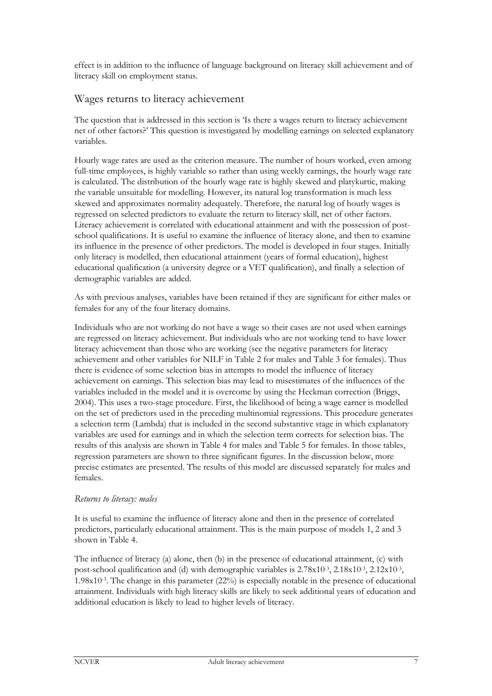effect is in addition to the influence of language background on literacy skill achievement and of literacy skill on employment status.

#### Wages returns to literacy achievement

The question that is addressed in this section is 'Is there a wages return to literacy achievement net of other factors?' This question is investigated by modelling earnings on selected explanatory variables.

Hourly wage rates are used as the criterion measure. The number of hours worked, even among full-time employees, is highly variable so rather than using weekly earnings, the hourly wage rate is calculated. The distribution of the hourly wage rate is highly skewed and platykurtic, making the variable unsuitable for modelling. However, its natural log transformation is much less skewed and approximates normality adequately. Therefore, the natural log of hourly wages is regressed on selected predictors to evaluate the return to literacy skill, net of other factors. Literacy achievement is correlated with educational attainment and with the possession of postschool qualifications. It is useful to examine the influence of literacy alone, and then to examine its influence in the presence of other predictors. The model is developed in four stages. Initially only literacy is modelled, then educational attainment (years of formal education), highest educational qualification (a university degree or a VET qualification), and finally a selection of demographic variables are added.

As with previous analyses, variables have been retained if they are significant for either males or females for any of the four literacy domains.

Individuals who are not working do not have a wage so their cases are not used when earnings are regressed on literacy achievement. But individuals who are not working tend to have lower literacy achievement than those who are working (see the negative parameters for literacy achievement and other variables for NILF in Table 2 for males and Table 3 for females). Thus there is evidence of some selection bias in attempts to model the influence of literacy achievement on earnings. This selection bias may lead to misestimates of the influences of the variables included in the model and it is overcome by using the Heckman correction (Briggs, 2004). This uses a two-stage procedure. First, the likelihood of being a wage earner is modelled on the set of predictors used in the preceding multinomial regressions. This procedure generates a selection term (Lambda) that is included in the second substantive stage in which explanatory variables are used for earnings and in which the selection term corrects for selection bias. The results of this analysis are shown in Table 4 for males and Table 5 for females. In those tables, regression parameters are shown to three significant figures. In the discussion below, more precise estimates are presented. The results of this model are discussed separately for males and females.

#### *Returns to literacy: males*

It is useful to examine the influence of literacy alone and then in the presence of correlated predictors, particularly educational attainment. This is the main purpose of models 1, 2 and 3 shown in Table 4.

The influence of literacy (a) alone, then (b) in the presence of educational attainment, (c) with post-school qualification and (d) with demographic variables is  $2.78x10^{-3}$ ,  $2.18x10^{-3}$ ,  $2.12x10^{-3}$ , 1.98x10-3. The change in this parameter (22%) is especially notable in the presence of educational attainment. Individuals with high literacy skills are likely to seek additional years of education and additional education is likely to lead to higher levels of literacy.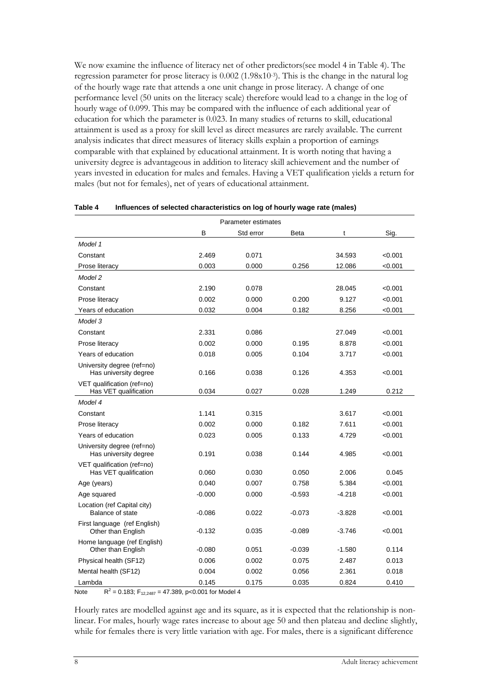We now examine the influence of literacy net of other predictors(see model 4 in Table 4). The regression parameter for prose literacy is  $0.002$  (1.98x10-3). This is the change in the natural log of the hourly wage rate that attends a one unit change in prose literacy. A change of one performance level (50 units on the literacy scale) therefore would lead to a change in the log of hourly wage of 0.099. This may be compared with the influence of each additional year of education for which the parameter is 0.023. In many studies of returns to skill, educational attainment is used as a proxy for skill level as direct measures are rarely available. The current analysis indicates that direct measures of literacy skills explain a proportion of earnings comparable with that explained by educational attainment. It is worth noting that having a university degree is advantageous in addition to literacy skill achievement and the number of years invested in education for males and females. Having a VET qualification yields a return for males (but not for females), net of years of educational attainment.

| Parameter estimates                                 |          |           |          |          |         |  |
|-----------------------------------------------------|----------|-----------|----------|----------|---------|--|
|                                                     | в        | Std error | Beta     | t        | Sig.    |  |
| Model 1                                             |          |           |          |          |         |  |
| Constant                                            | 2.469    | 0.071     |          | 34.593   | < 0.001 |  |
| Prose literacy                                      | 0.003    | 0.000     | 0.256    | 12.086   | < 0.001 |  |
| Model 2                                             |          |           |          |          |         |  |
| Constant                                            | 2.190    | 0.078     |          | 28.045   | < 0.001 |  |
| Prose literacy                                      | 0.002    | 0.000     | 0.200    | 9.127    | < 0.001 |  |
| Years of education                                  | 0.032    | 0.004     | 0.182    | 8.256    | < 0.001 |  |
| Model 3                                             |          |           |          |          |         |  |
| Constant                                            | 2.331    | 0.086     |          | 27.049   | < 0.001 |  |
| Prose literacy                                      | 0.002    | 0.000     | 0.195    | 8.878    | < 0.001 |  |
| Years of education                                  | 0.018    | 0.005     | 0.104    | 3.717    | < 0.001 |  |
| University degree (ref=no)<br>Has university degree | 0.166    | 0.038     | 0.126    | 4.353    | < 0.001 |  |
| VET qualification (ref=no)<br>Has VET qualification | 0.034    | 0.027     | 0.028    | 1.249    | 0.212   |  |
| Model 4                                             |          |           |          |          |         |  |
| Constant                                            | 1.141    | 0.315     |          | 3.617    | < 0.001 |  |
| Prose literacy                                      | 0.002    | 0.000     | 0.182    | 7.611    | < 0.001 |  |
| Years of education                                  | 0.023    | 0.005     | 0.133    | 4.729    | < 0.001 |  |
| University degree (ref=no)<br>Has university degree | 0.191    | 0.038     | 0.144    | 4.985    | < 0.001 |  |
| VET qualification (ref=no)<br>Has VET qualification | 0.060    | 0.030     | 0.050    | 2.006    | 0.045   |  |
| Age (years)                                         | 0.040    | 0.007     | 0.758    | 5.384    | < 0.001 |  |
| Age squared                                         | $-0.000$ | 0.000     | $-0.593$ | $-4.218$ | < 0.001 |  |
| Location (ref Capital city)<br>Balance of state     | $-0.086$ | 0.022     | $-0.073$ | $-3.828$ | < 0.001 |  |
| First language (ref English)<br>Other than English  | $-0.132$ | 0.035     | $-0.089$ | $-3.746$ | < 0.001 |  |
| Home language (ref English)<br>Other than English   | $-0.080$ | 0.051     | $-0.039$ | $-1.580$ | 0.114   |  |
| Physical health (SF12)                              | 0.006    | 0.002     | 0.075    | 2.487    | 0.013   |  |
| Mental health (SF12)                                | 0.004    | 0.002     | 0.056    | 2.361    | 0.018   |  |
| Lambda                                              | 0.145    | 0.175     | 0.035    | 0.824    | 0.410   |  |

| Table 4 | Influences of selected characteristics on log of hourly wage rate (males) |
|---------|---------------------------------------------------------------------------|
|---------|---------------------------------------------------------------------------|

Note  $R^2$  = 0.183; F<sub>12,2487</sub> = 47.389, p<0.001 for Model 4

Hourly rates are modelled against age and its square, as it is expected that the relationship is nonlinear. For males, hourly wage rates increase to about age 50 and then plateau and decline slightly, while for females there is very little variation with age. For males, there is a significant difference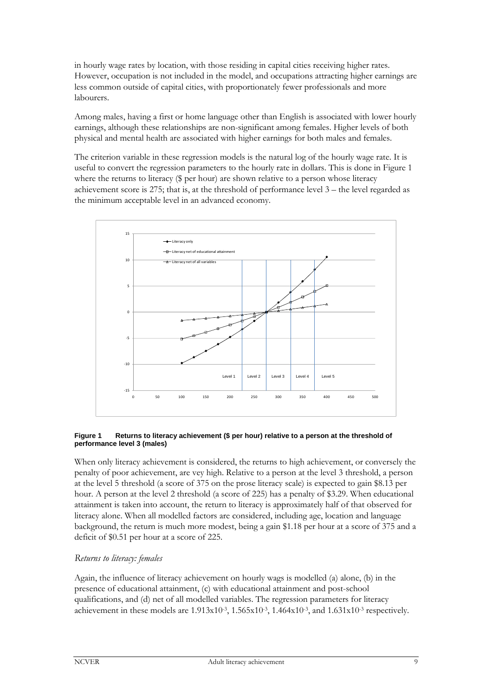in hourly wage rates by location, with those residing in capital cities receiving higher rates. However, occupation is not included in the model, and occupations attracting higher earnings are less common outside of capital cities, with proportionately fewer professionals and more labourers.

Among males, having a first or home language other than English is associated with lower hourly earnings, although these relationships are non-significant among females. Higher levels of both physical and mental health are associated with higher earnings for both males and females.

The criterion variable in these regression models is the natural log of the hourly wage rate. It is useful to convert the regression parameters to the hourly rate in dollars. This is done in Figure 1 where the returns to literacy (\$ per hour) are shown relative to a person whose literacy achievement score is 275; that is, at the threshold of performance level 3 – the level regarded as the minimum acceptable level in an advanced economy.



#### **Figure 1 Returns to literacy achievement (\$ per hour) relative to a person at the threshold of performance level 3 (males)**

When only literacy achievement is considered, the returns to high achievement, or conversely the penalty of poor achievement, are vey high. Relative to a person at the level 3 threshold, a person at the level 5 threshold (a score of 375 on the prose literacy scale) is expected to gain \$8.13 per hour. A person at the level 2 threshold (a score of 225) has a penalty of \$3.29. When educational attainment is taken into account, the return to literacy is approximately half of that observed for literacy alone. When all modelled factors are considered, including age, location and language background, the return is much more modest, being a gain \$1.18 per hour at a score of 375 and a deficit of \$0.51 per hour at a score of 225.

#### *Returns to literacy: females*

Again, the influence of literacy achievement on hourly wags is modelled (a) alone, (b) in the presence of educational attainment, (c) with educational attainment and post-school qualifications, and (d) net of all modelled variables. The regression parameters for literacy achievement in these models are  $1.913x10^{-3}$ ,  $1.565x10^{-3}$ ,  $1.464x10^{-3}$ , and  $1.631x10^{-3}$  respectively.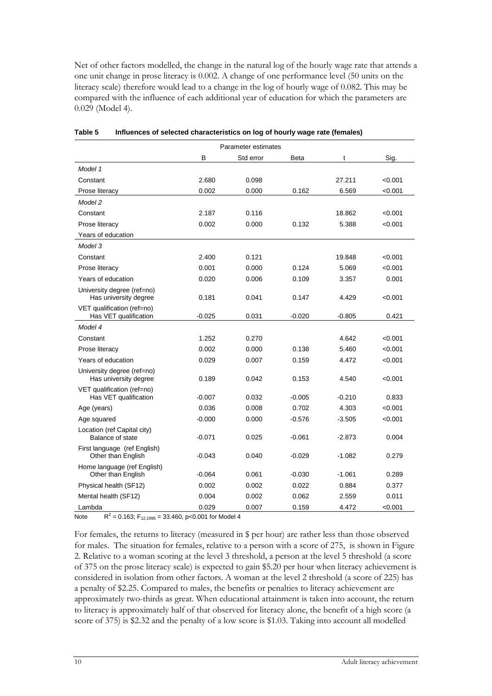Net of other factors modelled, the change in the natural log of the hourly wage rate that attends a one unit change in prose literacy is 0.002. A change of one performance level (50 units on the literacy scale) therefore would lead to a change in the log of hourly wage of 0.082. This may be compared with the influence of each additional year of education for which the parameters are 0.029 (Model 4).

| Parameter estimates                                 |          |           |          |          |         |  |
|-----------------------------------------------------|----------|-----------|----------|----------|---------|--|
|                                                     | в        | Std error | Beta     | t        | Sig.    |  |
| Model 1                                             |          |           |          |          |         |  |
| Constant                                            | 2.680    | 0.098     |          | 27.211   | < 0.001 |  |
| Prose literacy                                      | 0.002    | 0.000     | 0.162    | 6.569    | < 0.001 |  |
| Model 2                                             |          |           |          |          |         |  |
| Constant                                            | 2.187    | 0.116     |          | 18.862   | < 0.001 |  |
| Prose literacy                                      | 0.002    | 0.000     | 0.132    | 5.388    | < 0.001 |  |
| Years of education                                  |          |           |          |          |         |  |
| Model 3                                             |          |           |          |          |         |  |
| Constant                                            | 2.400    | 0.121     |          | 19.848   | < 0.001 |  |
| Prose literacy                                      | 0.001    | 0.000     | 0.124    | 5.069    | < 0.001 |  |
| Years of education                                  | 0.020    | 0.006     | 0.109    | 3.357    | 0.001   |  |
| University degree (ref=no)<br>Has university degree | 0.181    | 0.041     | 0.147    | 4.429    | < 0.001 |  |
| VET qualification (ref=no)<br>Has VET qualification | $-0.025$ | 0.031     | $-0.020$ | $-0.805$ | 0.421   |  |
| Model 4                                             |          |           |          |          |         |  |
| Constant                                            | 1.252    | 0.270     |          | 4.642    | < 0.001 |  |
| Prose literacy                                      | 0.002    | 0.000     | 0.138    | 5.460    | < 0.001 |  |
| Years of education                                  | 0.029    | 0.007     | 0.159    | 4.472    | < 0.001 |  |
| University degree (ref=no)<br>Has university degree | 0.189    | 0.042     | 0.153    | 4.540    | < 0.001 |  |
| VET qualification (ref=no)<br>Has VET qualification | $-0.007$ | 0.032     | $-0.005$ | $-0.210$ | 0.833   |  |
| Age (years)                                         | 0.036    | 0.008     | 0.702    | 4.303    | < 0.001 |  |
| Age squared                                         | $-0.000$ | 0.000     | $-0.576$ | $-3.505$ | < 0.001 |  |
| Location (ref Capital city)<br>Balance of state     | $-0.071$ | 0.025     | $-0.061$ | $-2.873$ | 0.004   |  |
| First language (ref English)<br>Other than English  | $-0.043$ | 0.040     | $-0.029$ | $-1.082$ | 0.279   |  |
| Home language (ref English)<br>Other than English   | $-0.064$ | 0.061     | $-0.030$ | $-1.061$ | 0.289   |  |
| Physical health (SF12)                              | 0.002    | 0.002     | 0.022    | 0.884    | 0.377   |  |
| Mental health (SF12)                                | 0.004    | 0.002     | 0.062    | 2.559    | 0.011   |  |
| Lambda                                              | 0.029    | 0.007     | 0.159    | 4.472    | < 0.001 |  |

| Table 5 | Influences of selected characteristics on log of hourly wage rate (females) |  |
|---------|-----------------------------------------------------------------------------|--|
|         |                                                                             |  |

Note  $R^2$  = 0.163; F<sub>12,1995</sub> = 33.460, p<0.001 for Model 4

For females, the returns to literacy (measured in \$ per hour) are rather less than those observed for males. The situation for females, relative to a person with a score of 275, is shown in Figure 2. Relative to a woman scoring at the level 3 threshold, a person at the level 5 threshold (a score of 375 on the prose literacy scale) is expected to gain \$5.20 per hour when literacy achievement is considered in isolation from other factors. A woman at the level 2 threshold (a score of 225) has a penalty of \$2.25. Compared to males, the benefits or penalties to literacy achievement are approximately two-thirds as great. When educational attainment is taken into account, the return to literacy is approximately half of that observed for literacy alone, the benefit of a high score (a score of 375) is \$2.32 and the penalty of a low score is \$1.03. Taking into account all modelled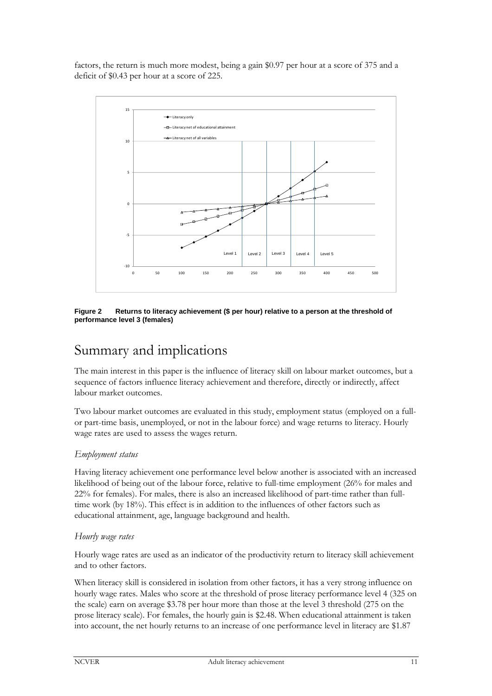factors, the return is much more modest, being a gain \$0.97 per hour at a score of 375 and a deficit of \$0.43 per hour at a score of 225.



**Figure 2 Returns to literacy achievement (\$ per hour) relative to a person at the threshold of performance level 3 (females)** 

## Summary and implications

The main interest in this paper is the influence of literacy skill on labour market outcomes, but a sequence of factors influence literacy achievement and therefore, directly or indirectly, affect labour market outcomes.

Two labour market outcomes are evaluated in this study, employment status (employed on a fullor part-time basis, unemployed, or not in the labour force) and wage returns to literacy. Hourly wage rates are used to assess the wages return.

#### *Employment status*

Having literacy achievement one performance level below another is associated with an increased likelihood of being out of the labour force, relative to full-time employment (26% for males and 22% for females). For males, there is also an increased likelihood of part-time rather than fulltime work (by 18%). This effect is in addition to the influences of other factors such as educational attainment, age, language background and health.

#### *Hourly wage rates*

Hourly wage rates are used as an indicator of the productivity return to literacy skill achievement and to other factors.

When literacy skill is considered in isolation from other factors, it has a very strong influence on hourly wage rates. Males who score at the threshold of prose literacy performance level 4 (325 on the scale) earn on average \$3.78 per hour more than those at the level 3 threshold (275 on the prose literacy scale). For females, the hourly gain is \$2.48. When educational attainment is taken into account, the net hourly returns to an increase of one performance level in literacy are \$1.87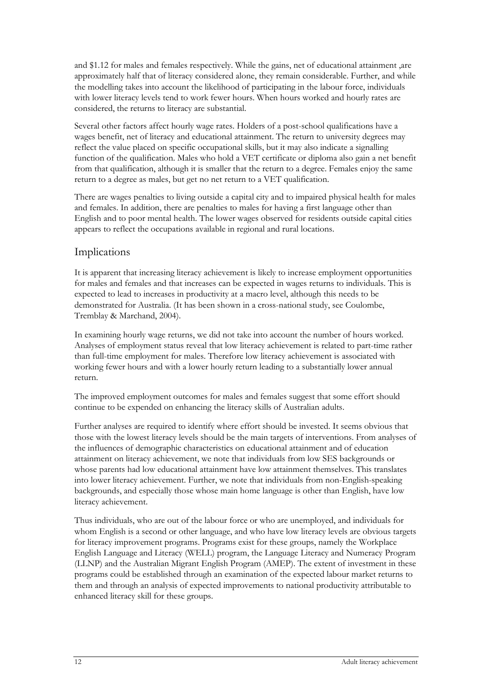and \$1.12 for males and females respectively. While the gains, net of educational attainment ,are approximately half that of literacy considered alone, they remain considerable. Further, and while the modelling takes into account the likelihood of participating in the labour force, individuals with lower literacy levels tend to work fewer hours. When hours worked and hourly rates are considered, the returns to literacy are substantial.

Several other factors affect hourly wage rates. Holders of a post-school qualifications have a wages benefit, net of literacy and educational attainment. The return to university degrees may reflect the value placed on specific occupational skills, but it may also indicate a signalling function of the qualification. Males who hold a VET certificate or diploma also gain a net benefit from that qualification, although it is smaller that the return to a degree. Females enjoy the same return to a degree as males, but get no net return to a VET qualification.

There are wages penalties to living outside a capital city and to impaired physical health for males and females. In addition, there are penalties to males for having a first language other than English and to poor mental health. The lower wages observed for residents outside capital cities appears to reflect the occupations available in regional and rural locations.

#### Implications

It is apparent that increasing literacy achievement is likely to increase employment opportunities for males and females and that increases can be expected in wages returns to individuals. This is expected to lead to increases in productivity at a macro level, although this needs to be demonstrated for Australia. (It has been shown in a cross-national study, see Coulombe, Tremblay & Marchand, 2004).

In examining hourly wage returns, we did not take into account the number of hours worked. Analyses of employment status reveal that low literacy achievement is related to part-time rather than full-time employment for males. Therefore low literacy achievement is associated with working fewer hours and with a lower hourly return leading to a substantially lower annual return.

The improved employment outcomes for males and females suggest that some effort should continue to be expended on enhancing the literacy skills of Australian adults.

Further analyses are required to identify where effort should be invested. It seems obvious that those with the lowest literacy levels should be the main targets of interventions. From analyses of the influences of demographic characteristics on educational attainment and of education attainment on literacy achievement, we note that individuals from low SES backgrounds or whose parents had low educational attainment have low attainment themselves. This translates into lower literacy achievement. Further, we note that individuals from non-English-speaking backgrounds, and especially those whose main home language is other than English, have low literacy achievement.

Thus individuals, who are out of the labour force or who are unemployed, and individuals for whom English is a second or other language, and who have low literacy levels are obvious targets for literacy improvement programs. Programs exist for these groups, namely the Workplace English Language and Literacy (WELL) program, the Language Literacy and Numeracy Program (LLNP) and the Australian Migrant English Program (AMEP). The extent of investment in these programs could be established through an examination of the expected labour market returns to them and through an analysis of expected improvements to national productivity attributable to enhanced literacy skill for these groups.